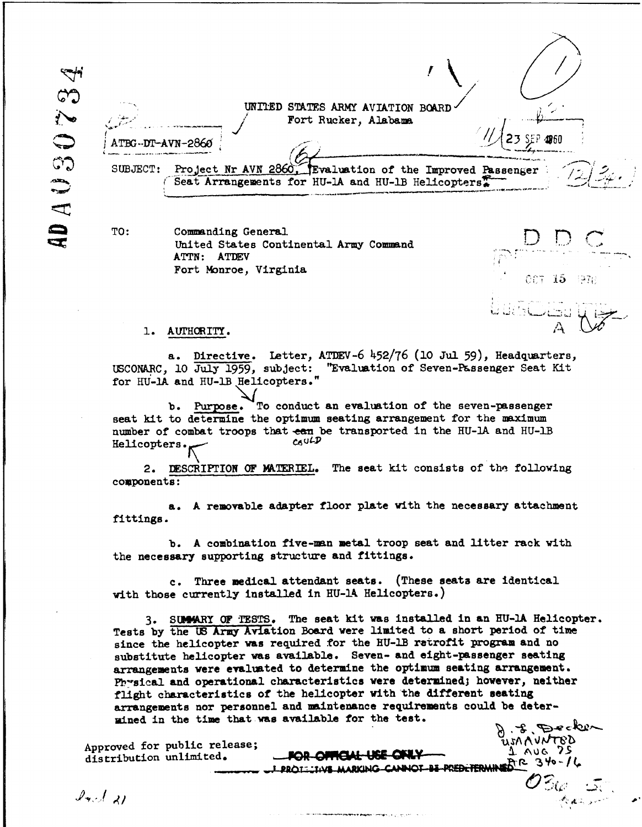E 403073 UNIIED STATES ARMY AVIATION BOARD Fort Rucker, Alabama **BG-DT-AVN-2860 3 3 P** 400 SUBJECT: Project Nr AVN 2860, Evaluation of the Improved Passenger Seat Arrangements for HU-1A and HU-1B Helicopters<sup>2</sup>

Q

TO: Commanding General United States Continental Army Comnand **.** ATTN: ATIDEV Fort Monroe, Virginia

## 1. AUTHORITY.

Directive. Letter, ATDEV-6 452/76 (10 Jul 59), Headquarters, USCONRC, **10** July 1959, subject: "Evaluation of Seven-Passenger Seat Kit for **HU-IA** and **HU-IB** Helicopters."

**b. Purpose.** To conduct an evaluation of the seven-passenger seat kit to determine the optimum seating arrangement for the maximum number of combat troops that  $\frac{1}{c_0}$  be transported in the HU-1A and HU-1B Heliconters. Helicopters.

2. DESCRIPTION OF MATERIEL. The seat kit consists of the following components:

**a. A** removable adapter floor plate with the necessary attachment fittings.

b. A combination five-man metal troop seat and litter rack with the necessary supporting structure and fittings.

c. Three medical attendant seats. (These seats are identical with those currently installed in **HU-IA** Helicopters.)

**3.** SUMARY OF TESTS. The seat kit was installed in an HU-IA Helicopter. Tests by the **US** Army Aviation Board were limited to a short period of time since the helicopter was required for the **HU-lB** retrofit program and no substitute helicopter was available. Seven- and eight-passenger seating arrangements were evaluated to determine the optimum seating arrangement. Physical and operational characteristics were determined; however, neither flight characteristics of the helicopter with the different seating arrangements nor personnel and maintenance requirements could be determined in the time that was available for the test.  $\mathscr{F}$  Decker

PROTEINS MARKING CANNOT BE PREDETERMINED R R 3 YO - 1

00T 15

Approved for public release;<br>distribution unlimited. **FOR-OFFICIAL USE ONLY** distribution unlimited.

 $\mathcal{I}_{\mathcal{B}}$  of  $\mathcal{A}$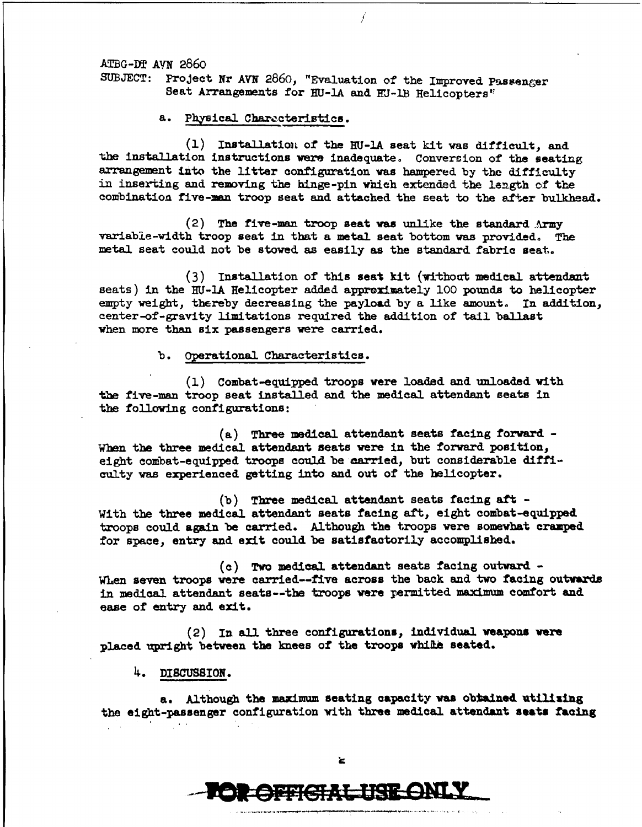ATBG-DT **AYN** 2860 SUBJECT: Project Nr AVN 2860, "Evaluation of the Improved Passenger

Seat Arrangements for HU-1A and HU-1B Helicopters"

a. Physical Characteristics.

**(1)** Installation of the RU-IA seat kit was difficult, and the installation instructions were inadequate. Conversion of the seating arrangement into the litter configuration was hampered **by** the difficulty in inserting and removing the hinge-pin which extended the length of the combination five-man troop seat and attached the seat to the after bulkhead.

(2) The five-man troop seat was unlike the standard  $\Lambda$ rmy variable-width troop seat in that a metal seat bottom **was** provided. The metal seat could not be stowed as easily as the standard fabric seat..

**(3)** Installation of this seat kit (withoat medical attendant seats) in the HU-1A Helicopter added approximately **100** pounds to helicopter empty weight, thereby decreasing the payload by a like amount. In addition, center-of-gravity limitations required the addition of tail ballast when more than six passengers were carried.

b. operational Characteristics.

**(1)** Combat-equipped troops were loaded and unloaded with the five-man troop seat installed and the medical attendant seats in the following configurations:

(a) Three medical attendant seats facing forward **- When** the three medical attendant seats were in the forward position, eight combat-equipped troops could be carried, but considerable difficulty was experienced getting into and out of the helicopter.

(b) Three medical attendant seats facing aft - With the three medical attendant seats facing aft, eight combat-equipped troops could again be carried. Although the troops were somewhat cramped for space, entry and exit could be satisfactorily accomplished.

(c) Two medical attendant seats facing outward -When seven troops were carried-five across the back and two facing outwards in medical attendant seats--the troops were permitted maximum comfort and ease of entry **and** exit.

(2) In **all** three configurations, individual **weapons were** placed upright between the knees of the troops while seated.

**4. DISCUSSION.**

a. Although the **maximum** seating capacity **was** obiAine. utilizing the eight-passenger configuration with three medical attendant **seats facing**

と

**SEEGRE BREONI**